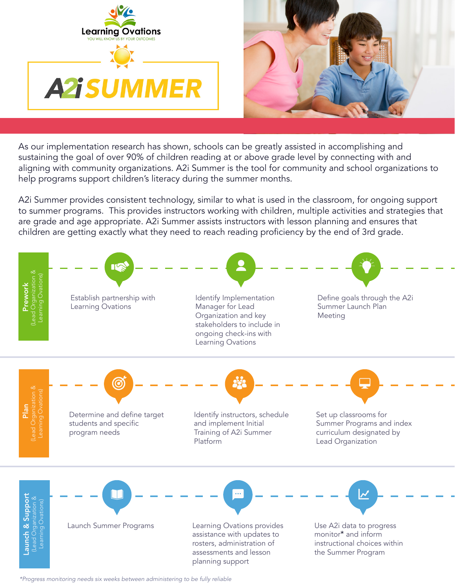



As our implementation research has shown, schools can be greatly assisted in accomplishing and sustaining the goal of over 90% of children reading at or above grade level by connecting with and aligning with community organizations. A2i Summer is the tool for community and school organizations to help programs support children's literacy during the summer months.

A2i Summer provides consistent technology, similar to what is used in the classroom, for ongoing support to summer programs. This provides instructors working with children, multiple activities and strategies that are grade and age appropriate. A2i Summer assists instructors with lesson planning and ensures that children are getting exactly what they need to reach reading proficiency by the end of 3rd grade.



*\*Progress monitoring needs six weeks between administering to be fully reliable*